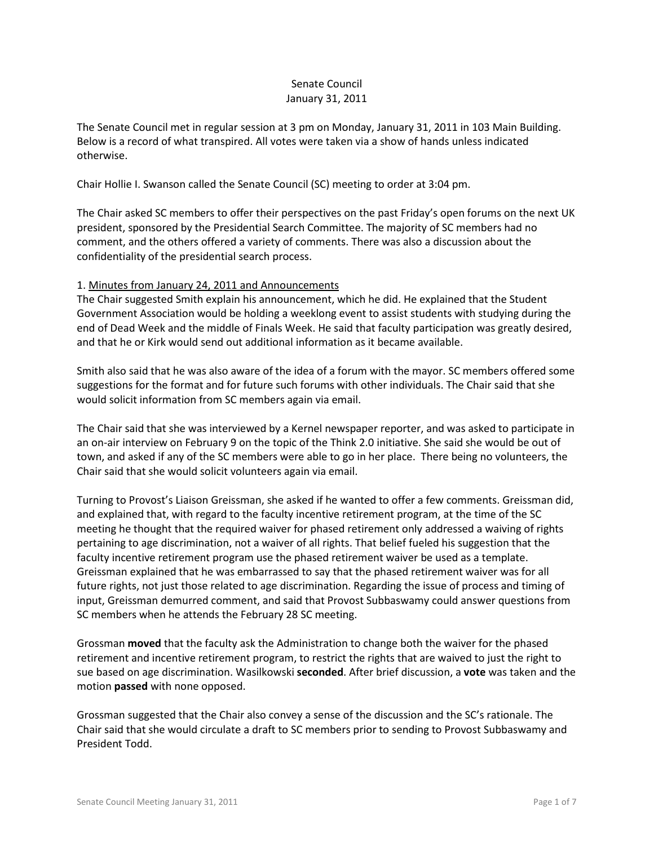## Senate Council January 31, 2011

The Senate Council met in regular session at 3 pm on Monday, January 31, 2011 in 103 Main Building. Below is a record of what transpired. All votes were taken via a show of hands unless indicated otherwise.

Chair Hollie I. Swanson called the Senate Council (SC) meeting to order at 3:04 pm.

The Chair asked SC members to offer their perspectives on the past Friday's open forums on the next UK president, sponsored by the Presidential Search Committee. The majority of SC members had no comment, and the others offered a variety of comments. There was also a discussion about the confidentiality of the presidential search process.

## 1. Minutes from January 24, 2011 and Announcements

The Chair suggested Smith explain his announcement, which he did. He explained that the Student Government Association would be holding a weeklong event to assist students with studying during the end of Dead Week and the middle of Finals Week. He said that faculty participation was greatly desired, and that he or Kirk would send out additional information as it became available.

Smith also said that he was also aware of the idea of a forum with the mayor. SC members offered some suggestions for the format and for future such forums with other individuals. The Chair said that she would solicit information from SC members again via email.

The Chair said that she was interviewed by a Kernel newspaper reporter, and was asked to participate in an on-air interview on February 9 on the topic of the Think 2.0 initiative. She said she would be out of town, and asked if any of the SC members were able to go in her place. There being no volunteers, the Chair said that she would solicit volunteers again via email.

Turning to Provost's Liaison Greissman, she asked if he wanted to offer a few comments. Greissman did, and explained that, with regard to the faculty incentive retirement program, at the time of the SC meeting he thought that the required waiver for phased retirement only addressed a waiving of rights pertaining to age discrimination, not a waiver of all rights. That belief fueled his suggestion that the faculty incentive retirement program use the phased retirement waiver be used as a template. Greissman explained that he was embarrassed to say that the phased retirement waiver was for all future rights, not just those related to age discrimination. Regarding the issue of process and timing of input, Greissman demurred comment, and said that Provost Subbaswamy could answer questions from SC members when he attends the February 28 SC meeting.

Grossman **moved** that the faculty ask the Administration to change both the waiver for the phased retirement and incentive retirement program, to restrict the rights that are waived to just the right to sue based on age discrimination. Wasilkowski **seconded**. After brief discussion, a **vote** was taken and the motion **passed** with none opposed.

Grossman suggested that the Chair also convey a sense of the discussion and the SC's rationale. The Chair said that she would circulate a draft to SC members prior to sending to Provost Subbaswamy and President Todd.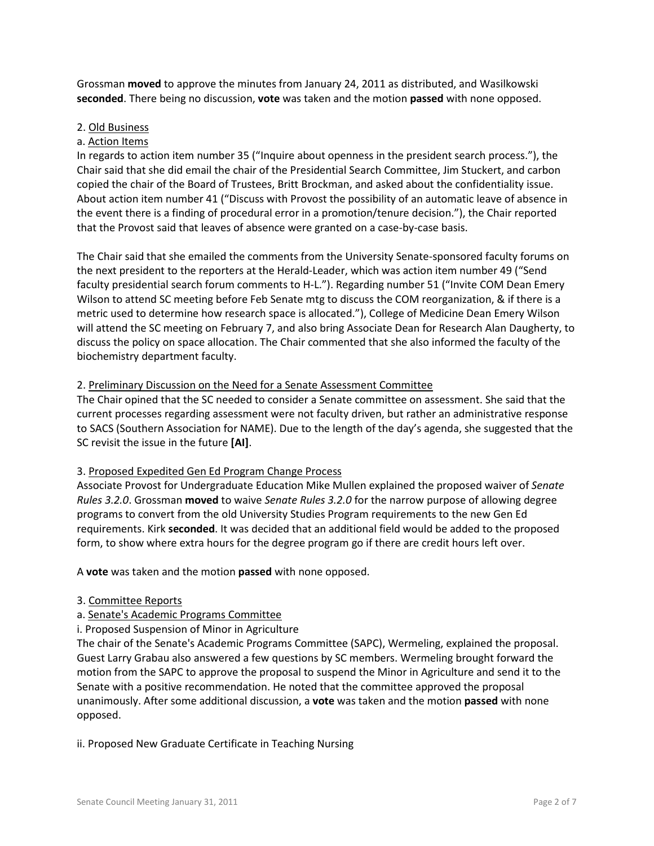Grossman **moved** to approve the minutes from January 24, 2011 as distributed, and Wasilkowski **seconded**. There being no discussion, **vote** was taken and the motion **passed** with none opposed.

#### 2. Old Business

## a. Action Items

In regards to action item number 35 ("Inquire about openness in the president search process."), the Chair said that she did email the chair of the Presidential Search Committee, Jim Stuckert, and carbon copied the chair of the Board of Trustees, Britt Brockman, and asked about the confidentiality issue. About action item number 41 ("Discuss with Provost the possibility of an automatic leave of absence in the event there is a finding of procedural error in a promotion/tenure decision."), the Chair reported that the Provost said that leaves of absence were granted on a case-by-case basis.

The Chair said that she emailed the comments from the University Senate-sponsored faculty forums on the next president to the reporters at the Herald-Leader, which was action item number 49 ("Send faculty presidential search forum comments to H-L."). Regarding number 51 ("Invite COM Dean Emery Wilson to attend SC meeting before Feb Senate mtg to discuss the COM reorganization, & if there is a metric used to determine how research space is allocated."), College of Medicine Dean Emery Wilson will attend the SC meeting on February 7, and also bring Associate Dean for Research Alan Daugherty, to discuss the policy on space allocation. The Chair commented that she also informed the faculty of the biochemistry department faculty.

#### 2. Preliminary Discussion on the Need for a Senate Assessment Committee

The Chair opined that the SC needed to consider a Senate committee on assessment. She said that the current processes regarding assessment were not faculty driven, but rather an administrative response to SACS (Southern Association for NAME). Due to the length of the day's agenda, she suggested that the SC revisit the issue in the future **[AI]**.

#### 3. Proposed Expedited Gen Ed Program Change Process

Associate Provost for Undergraduate Education Mike Mullen explained the proposed waiver of *Senate Rules 3.2.0*. Grossman **moved** to waive *Senate Rules 3.2.0* for the narrow purpose of allowing degree programs to convert from the old University Studies Program requirements to the new Gen Ed requirements. Kirk **seconded**. It was decided that an additional field would be added to the proposed form, to show where extra hours for the degree program go if there are credit hours left over.

A **vote** was taken and the motion **passed** with none opposed.

#### 3. Committee Reports

## a. Senate's Academic Programs Committee

i. Proposed Suspension of Minor in Agriculture

The chair of the Senate's Academic Programs Committee (SAPC), Wermeling, explained the proposal. Guest Larry Grabau also answered a few questions by SC members. Wermeling brought forward the motion from the SAPC to approve the proposal to suspend the Minor in Agriculture and send it to the Senate with a positive recommendation. He noted that the committee approved the proposal unanimously. After some additional discussion, a **vote** was taken and the motion **passed** with none opposed.

#### ii. Proposed New Graduate Certificate in Teaching Nursing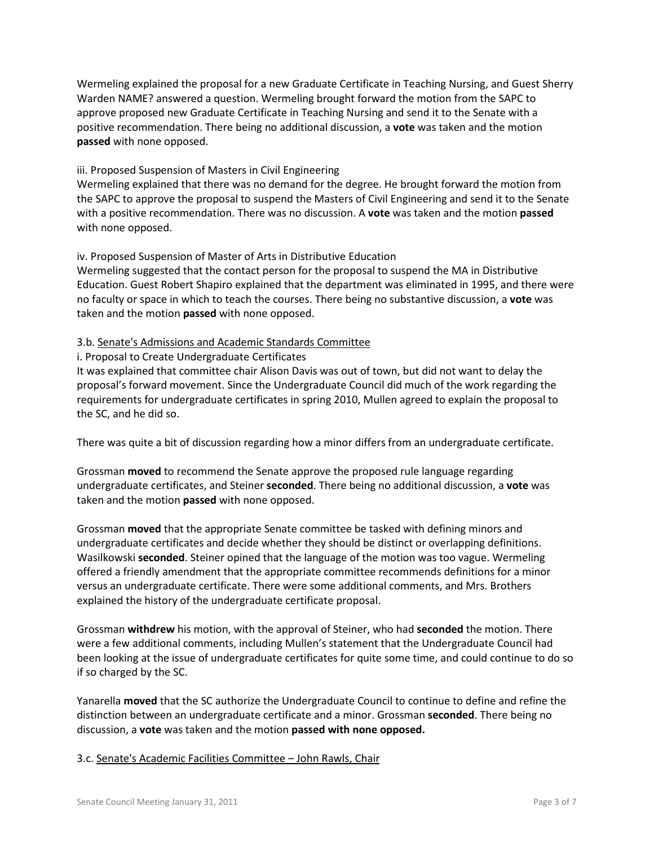Wermeling explained the proposal for a new Graduate Certificate in Teaching Nursing, and Guest Sherry Warden NAME? answered a question. Wermeling brought forward the motion from the SAPC to approve proposed new Graduate Certificate in Teaching Nursing and send it to the Senate with a positive recommendation. There being no additional discussion, a **vote** was taken and the motion **passed** with none opposed.

## iii. Proposed Suspension of Masters in Civil Engineering

Wermeling explained that there was no demand for the degree. He brought forward the motion from the SAPC to approve the proposal to suspend the Masters of Civil Engineering and send it to the Senate with a positive recommendation. There was no discussion. A **vote** was taken and the motion **passed** with none opposed.

# iv. Proposed Suspension of Master of Arts in Distributive Education

Wermeling suggested that the contact person for the proposal to suspend the MA in Distributive Education. Guest Robert Shapiro explained that the department was eliminated in 1995, and there were no faculty or space in which to teach the courses. There being no substantive discussion, a **vote** was taken and the motion **passed** with none opposed.

## 3.b. Senate's Admissions and Academic Standards Committee

# i. Proposal to Create Undergraduate Certificates

It was explained that committee chair Alison Davis was out of town, but did not want to delay the proposal's forward movement. Since the Undergraduate Council did much of the work regarding the requirements for undergraduate certificates in spring 2010, Mullen agreed to explain the proposal to the SC, and he did so.

There was quite a bit of discussion regarding how a minor differs from an undergraduate certificate.

Grossman **moved** to recommend the Senate approve the proposed rule language regarding undergraduate certificates, and Steiner **seconded**. There being no additional discussion, a **vote** was taken and the motion **passed** with none opposed.

Grossman **moved** that the appropriate Senate committee be tasked with defining minors and undergraduate certificates and decide whether they should be distinct or overlapping definitions. Wasilkowski **seconded**. Steiner opined that the language of the motion was too vague. Wermeling offered a friendly amendment that the appropriate committee recommends definitions for a minor versus an undergraduate certificate. There were some additional comments, and Mrs. Brothers explained the history of the undergraduate certificate proposal.

Grossman **withdrew** his motion, with the approval of Steiner, who had **seconded** the motion. There were a few additional comments, including Mullen's statement that the Undergraduate Council had been looking at the issue of undergraduate certificates for quite some time, and could continue to do so if so charged by the SC.

Yanarella **moved** that the SC authorize the Undergraduate Council to continue to define and refine the distinction between an undergraduate certificate and a minor. Grossman **seconded**. There being no discussion, a **vote** was taken and the motion **passed with none opposed.**

## 3.c. Senate's Academic Facilities Committee – John Rawls, Chair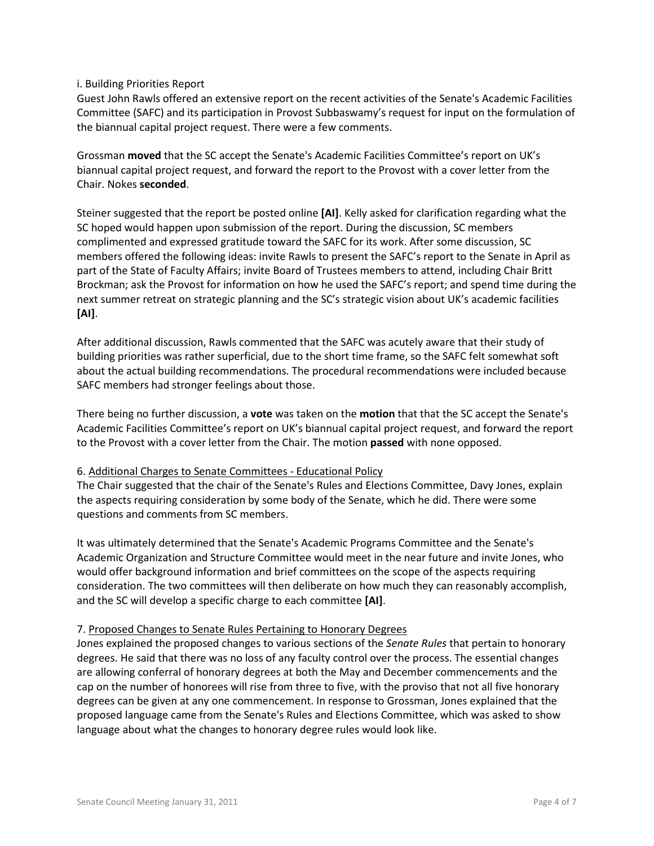#### i. Building Priorities Report

Guest John Rawls offered an extensive report on the recent activities of the Senate's Academic Facilities Committee (SAFC) and its participation in Provost Subbaswamy's request for input on the formulation of the biannual capital project request. There were a few comments.

Grossman **moved** that the SC accept the Senate's Academic Facilities Committee's report on UK's biannual capital project request, and forward the report to the Provost with a cover letter from the Chair. Nokes **seconded**.

Steiner suggested that the report be posted online **[AI]**. Kelly asked for clarification regarding what the SC hoped would happen upon submission of the report. During the discussion, SC members complimented and expressed gratitude toward the SAFC for its work. After some discussion, SC members offered the following ideas: invite Rawls to present the SAFC's report to the Senate in April as part of the State of Faculty Affairs; invite Board of Trustees members to attend, including Chair Britt Brockman; ask the Provost for information on how he used the SAFC's report; and spend time during the next summer retreat on strategic planning and the SC's strategic vision about UK's academic facilities **[AI]**.

After additional discussion, Rawls commented that the SAFC was acutely aware that their study of building priorities was rather superficial, due to the short time frame, so the SAFC felt somewhat soft about the actual building recommendations. The procedural recommendations were included because SAFC members had stronger feelings about those.

There being no further discussion, a **vote** was taken on the **motion** that that the SC accept the Senate's Academic Facilities Committee's report on UK's biannual capital project request, and forward the report to the Provost with a cover letter from the Chair. The motion **passed** with none opposed.

## 6. Additional Charges to Senate Committees - Educational Policy

The Chair suggested that the chair of the Senate's Rules and Elections Committee, Davy Jones, explain the aspects requiring consideration by some body of the Senate, which he did. There were some questions and comments from SC members.

It was ultimately determined that the Senate's Academic Programs Committee and the Senate's Academic Organization and Structure Committee would meet in the near future and invite Jones, who would offer background information and brief committees on the scope of the aspects requiring consideration. The two committees will then deliberate on how much they can reasonably accomplish, and the SC will develop a specific charge to each committee **[AI]**.

## 7. Proposed Changes to Senate Rules Pertaining to Honorary Degrees

Jones explained the proposed changes to various sections of the *Senate Rules* that pertain to honorary degrees. He said that there was no loss of any faculty control over the process. The essential changes are allowing conferral of honorary degrees at both the May and December commencements and the cap on the number of honorees will rise from three to five, with the proviso that not all five honorary degrees can be given at any one commencement. In response to Grossman, Jones explained that the proposed language came from the Senate's Rules and Elections Committee, which was asked to show language about what the changes to honorary degree rules would look like.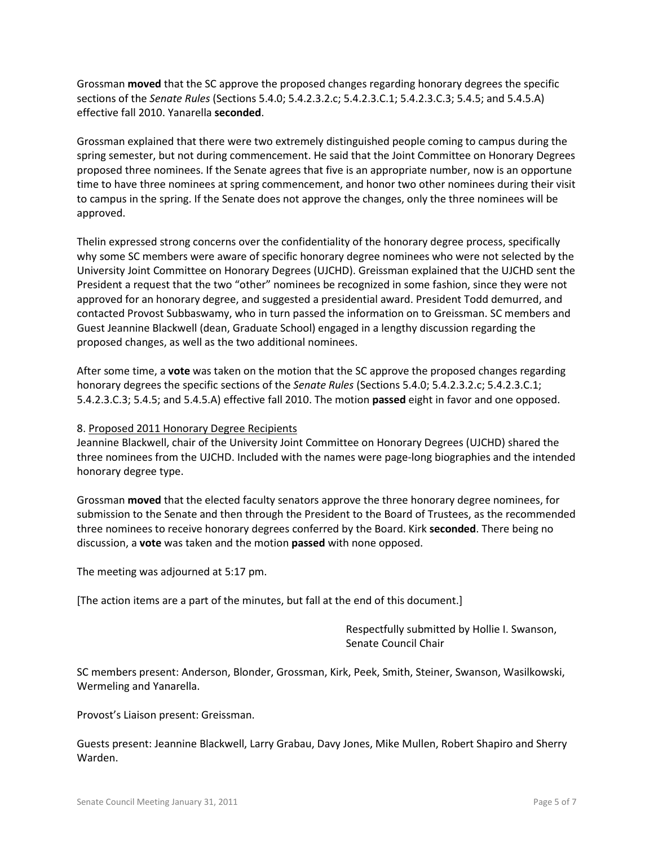Grossman **moved** that the SC approve the proposed changes regarding honorary degrees the specific sections of the *Senate Rules* (Sections 5.4.0; 5.4.2.3.2.c; 5.4.2.3.C.1; 5.4.2.3.C.3; 5.4.5; and 5.4.5.A) effective fall 2010. Yanarella **seconded**.

Grossman explained that there were two extremely distinguished people coming to campus during the spring semester, but not during commencement. He said that the Joint Committee on Honorary Degrees proposed three nominees. If the Senate agrees that five is an appropriate number, now is an opportune time to have three nominees at spring commencement, and honor two other nominees during their visit to campus in the spring. If the Senate does not approve the changes, only the three nominees will be approved.

Thelin expressed strong concerns over the confidentiality of the honorary degree process, specifically why some SC members were aware of specific honorary degree nominees who were not selected by the University Joint Committee on Honorary Degrees (UJCHD). Greissman explained that the UJCHD sent the President a request that the two "other" nominees be recognized in some fashion, since they were not approved for an honorary degree, and suggested a presidential award. President Todd demurred, and contacted Provost Subbaswamy, who in turn passed the information on to Greissman. SC members and Guest Jeannine Blackwell (dean, Graduate School) engaged in a lengthy discussion regarding the proposed changes, as well as the two additional nominees.

After some time, a **vote** was taken on the motion that the SC approve the proposed changes regarding honorary degrees the specific sections of the *Senate Rules* (Sections 5.4.0; 5.4.2.3.2.c; 5.4.2.3.C.1; 5.4.2.3.C.3; 5.4.5; and 5.4.5.A) effective fall 2010. The motion **passed** eight in favor and one opposed.

#### 8. Proposed 2011 Honorary Degree Recipients

Jeannine Blackwell, chair of the University Joint Committee on Honorary Degrees (UJCHD) shared the three nominees from the UJCHD. Included with the names were page-long biographies and the intended honorary degree type.

Grossman **moved** that the elected faculty senators approve the three honorary degree nominees, for submission to the Senate and then through the President to the Board of Trustees, as the recommended three nominees to receive honorary degrees conferred by the Board. Kirk **seconded**. There being no discussion, a **vote** was taken and the motion **passed** with none opposed.

The meeting was adjourned at 5:17 pm.

[The action items are a part of the minutes, but fall at the end of this document.]

Respectfully submitted by Hollie I. Swanson, Senate Council Chair

SC members present: Anderson, Blonder, Grossman, Kirk, Peek, Smith, Steiner, Swanson, Wasilkowski, Wermeling and Yanarella.

Provost's Liaison present: Greissman.

Guests present: Jeannine Blackwell, Larry Grabau, Davy Jones, Mike Mullen, Robert Shapiro and Sherry Warden.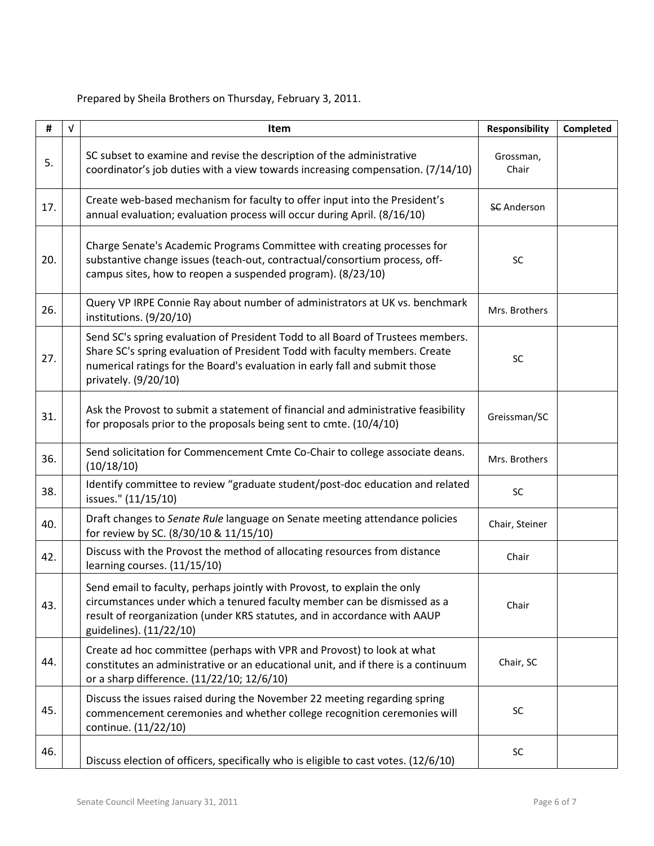Prepared by Sheila Brothers on Thursday, February 3, 2011.

| #   | $\sqrt{ }$ | Item                                                                                                                                                                                                                                                                  | <b>Responsibility</b> | Completed |
|-----|------------|-----------------------------------------------------------------------------------------------------------------------------------------------------------------------------------------------------------------------------------------------------------------------|-----------------------|-----------|
| 5.  |            | SC subset to examine and revise the description of the administrative<br>coordinator's job duties with a view towards increasing compensation. (7/14/10)                                                                                                              | Grossman,<br>Chair    |           |
| 17. |            | Create web-based mechanism for faculty to offer input into the President's<br>annual evaluation; evaluation process will occur during April. (8/16/10)                                                                                                                | <b>SC</b> Anderson    |           |
| 20. |            | Charge Senate's Academic Programs Committee with creating processes for<br>substantive change issues (teach-out, contractual/consortium process, off-<br>campus sites, how to reopen a suspended program). (8/23/10)                                                  | SC                    |           |
| 26. |            | Query VP IRPE Connie Ray about number of administrators at UK vs. benchmark<br>institutions. (9/20/10)                                                                                                                                                                | Mrs. Brothers         |           |
| 27. |            | Send SC's spring evaluation of President Todd to all Board of Trustees members.<br>Share SC's spring evaluation of President Todd with faculty members. Create<br>numerical ratings for the Board's evaluation in early fall and submit those<br>privately. (9/20/10) | <b>SC</b>             |           |
| 31. |            | Ask the Provost to submit a statement of financial and administrative feasibility<br>for proposals prior to the proposals being sent to cmte. (10/4/10)                                                                                                               | Greissman/SC          |           |
| 36. |            | Send solicitation for Commencement Cmte Co-Chair to college associate deans.<br>(10/18/10)                                                                                                                                                                            | Mrs. Brothers         |           |
| 38. |            | Identify committee to review "graduate student/post-doc education and related<br>issues." (11/15/10)                                                                                                                                                                  | SC                    |           |
| 40. |            | Draft changes to Senate Rule language on Senate meeting attendance policies<br>for review by SC. (8/30/10 & 11/15/10)                                                                                                                                                 | Chair, Steiner        |           |
| 42. |            | Discuss with the Provost the method of allocating resources from distance<br>learning courses. (11/15/10)                                                                                                                                                             | Chair                 |           |
| 43. |            | Send email to faculty, perhaps jointly with Provost, to explain the only<br>circumstances under which a tenured faculty member can be dismissed as a<br>result of reorganization (under KRS statutes, and in accordance with AAUP<br>guidelines). (11/22/10)          | Chair                 |           |
| 44. |            | Create ad hoc committee (perhaps with VPR and Provost) to look at what<br>constitutes an administrative or an educational unit, and if there is a continuum<br>or a sharp difference. (11/22/10; 12/6/10)                                                             | Chair, SC             |           |
| 45. |            | Discuss the issues raised during the November 22 meeting regarding spring<br>commencement ceremonies and whether college recognition ceremonies will<br>continue. (11/22/10)                                                                                          | SC                    |           |
| 46. |            | Discuss election of officers, specifically who is eligible to cast votes. (12/6/10)                                                                                                                                                                                   | SC                    |           |